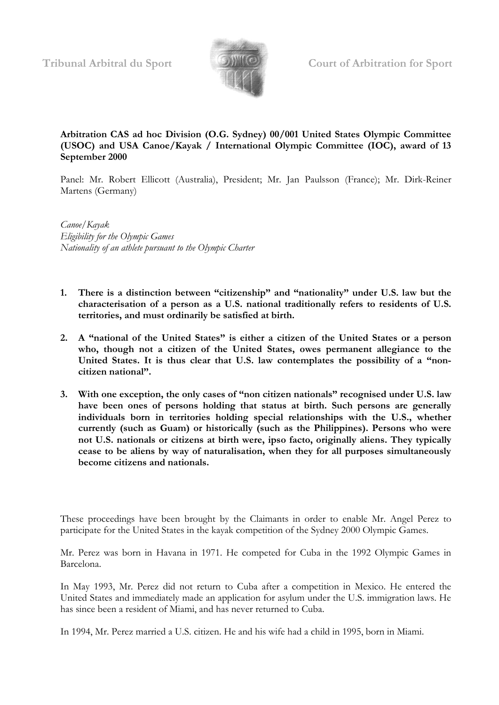

## **Arbitration CAS ad hoc Division (O.G. Sydney) 00/001 United States Olympic Committee (USOC) and USA Canoe/Kayak / International Olympic Committee (IOC), award of 13 September 2000**

Panel: Mr. Robert Ellicott (Australia), President; Mr. Jan Paulsson (France); Mr. Dirk-Reiner Martens (Germany)

*Canoe/Kayak Eligibility for the Olympic Games Nationality of an athlete pursuant to the Olympic Charter*

- **1. There is a distinction between "citizenship" and "nationality" under U.S. law but the characterisation of a person as a U.S. national traditionally refers to residents of U.S. territories, and must ordinarily be satisfied at birth.**
- **2. A "national of the United States" is either a citizen of the United States or a person who, though not a citizen of the United States, owes permanent allegiance to the United States. It is thus clear that U.S. law contemplates the possibility of a "noncitizen national".**
- **3. With one exception, the only cases of "non citizen nationals" recognised under U.S. law have been ones of persons holding that status at birth. Such persons are generally individuals born in territories holding special relationships with the U.S., whether currently (such as Guam) or historically (such as the Philippines). Persons who were not U.S. nationals or citizens at birth were, ipso facto, originally aliens. They typically cease to be aliens by way of naturalisation, when they for all purposes simultaneously become citizens and nationals.**

These proceedings have been brought by the Claimants in order to enable Mr. Angel Perez to participate for the United States in the kayak competition of the Sydney 2000 Olympic Games.

Mr. Perez was born in Havana in 1971. He competed for Cuba in the 1992 Olympic Games in Barcelona.

In May 1993, Mr. Perez did not return to Cuba after a competition in Mexico. He entered the United States and immediately made an application for asylum under the U.S. immigration laws. He has since been a resident of Miami, and has never returned to Cuba.

In 1994, Mr. Perez married a U.S. citizen. He and his wife had a child in 1995, born in Miami.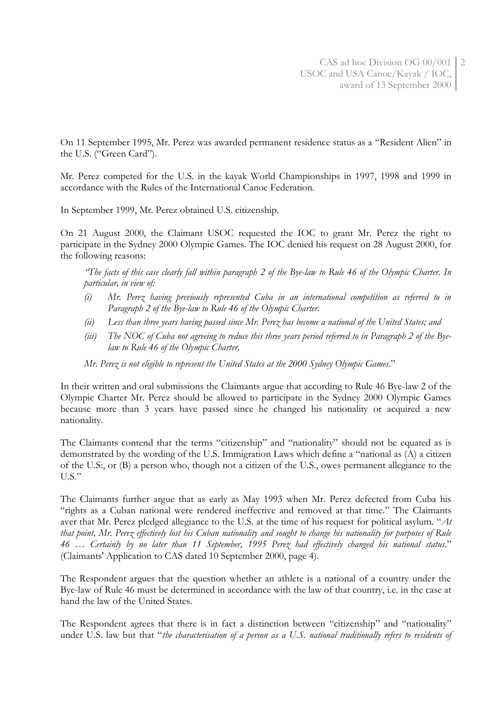On 11 September 1995, Mr. Perez was awarded permanent residence status as a "Resident Alien" in the U.S. ("Green Card").

Mr. Perez competed for the U.S. in the kayak World Championships in 1997, 1998 and 1999 in accordance with the Rules of the International Canoe Federation.

In September 1999, Mr. Perez obtained U.S. citizenship.

On 21 August 2000, the Claimant USOC requested the IOC to grant Mr. Perez the right to participate in the Sydney 2000 Olympic Games. The IOC denied his request on 28 August 2000, for the following reasons:

*"The facts of this case clearly fall within paragraph 2 of the Bye-law to Rule 46 of the Olympic Charter. In particular, in view of:*

- *(i) Mr. Perez having previously represented Cuba in an international competition as referred to in Paragraph 2 of the Bye-law to Rule 46 of the Olympic Charter.*
- *(ii) Less than three years having passed since Mr. Perez has become a national of the United States; and*
- *(iii) The NOC of Cuba not agreeing to reduce this three years period referred to in Paragraph 2 of the Byelaw to Rule 46 of the Olympic Charter,*

*Mr. Perez is not eligible to represent the United States at the 2000 Sydney Olympic Games*."

In their written and oral submissions the Claimants argue that according to Rule 46 Bye-law 2 of the Olympic Charter Mr. Perez should be allowed to participate in the Sydney 2000 Olympic Games because more than 3 years have passed since he changed his nationality or acquired a new nationality.

The Claimants contend that the terms "citizenship" and "nationality" should not be equated as is demonstrated by the wording of the U.S. Immigration Laws which define a "national as (A) a citizen of the U.S:, or (B) a person who, though not a citizen of the U.S., owes permanent allegiance to the U.S."

The Claimants further argue that as early as May 1993 when Mr. Perez defected from Cuba his "rights as a Cuban national were rendered ineffective and removed at that time." The Claimants aver that Mr. Perez pledged allegiance to the U.S. at the time of his request for political asylum. "*At that point, Mr. Perez effectively lost his Cuban nationality and sought to change his nationality for purposes of Rule 46 … Certainly by no later than 11 September, 1995 Perez had effectively changed his national status*." (Claimants' Application to CAS dated 10 September 2000, page 4).

The Respondent argues that the question whether an athlete is a national of a country under the Bye-law of Rule 46 must be determined in accordance with the law of that country, i.e. in the case at hand the law of the United States.

The Respondent agrees that there is in fact a distinction between "citizenship" and "nationality" under U.S. law but that "*the characterisation of a person as a U.S. national traditionally refers to residents of*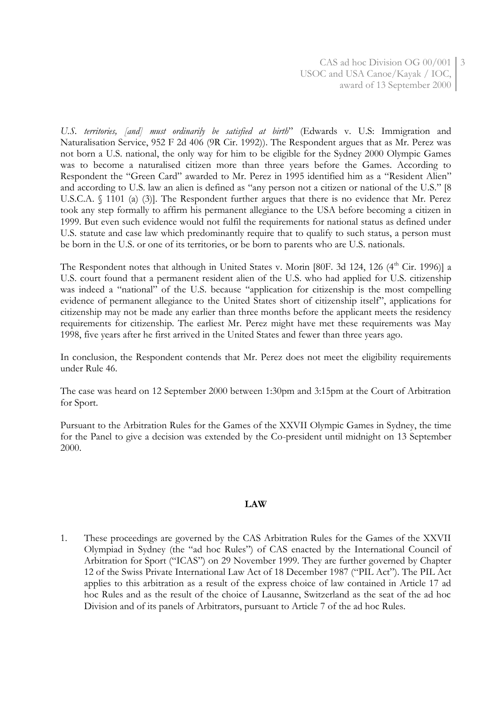*U.S. territories, [and] must ordinarily be satisfied at birth*" (Edwards v. U.S: Immigration and Naturalisation Service, 952 F 2d 406 (9R Cir. 1992)). The Respondent argues that as Mr. Perez was not born a U.S. national, the only way for him to be eligible for the Sydney 2000 Olympic Games was to become a naturalised citizen more than three years before the Games. According to Respondent the "Green Card" awarded to Mr. Perez in 1995 identified him as a "Resident Alien" and according to U.S. law an alien is defined as "any person not a citizen or national of the U.S." [8 U.S.C.A. § 1101 (a) (3)]. The Respondent further argues that there is no evidence that Mr. Perez took any step formally to affirm his permanent allegiance to the USA before becoming a citizen in 1999. But even such evidence would not fulfil the requirements for national status as defined under U.S. statute and case law which predominantly require that to qualify to such status, a person must be born in the U.S. or one of its territories, or be born to parents who are U.S. nationals.

The Respondent notes that although in United States v. Morin [80F. 3d 124, 126 (4<sup>th</sup> Cir. 1996)] a U.S. court found that a permanent resident alien of the U.S. who had applied for U.S. citizenship was indeed a "national" of the U.S. because "application for citizenship is the most compelling evidence of permanent allegiance to the United States short of citizenship itself", applications for citizenship may not be made any earlier than three months before the applicant meets the residency requirements for citizenship. The earliest Mr. Perez might have met these requirements was May 1998, five years after he first arrived in the United States and fewer than three years ago.

In conclusion, the Respondent contends that Mr. Perez does not meet the eligibility requirements under Rule 46.

The case was heard on 12 September 2000 between 1:30pm and 3:15pm at the Court of Arbitration for Sport.

Pursuant to the Arbitration Rules for the Games of the XXVII Olympic Games in Sydney, the time for the Panel to give a decision was extended by the Co-president until midnight on 13 September 2000.

## **LAW**

1. These proceedings are governed by the CAS Arbitration Rules for the Games of the XXVII Olympiad in Sydney (the "ad hoc Rules") of CAS enacted by the International Council of Arbitration for Sport ("ICAS") on 29 November 1999. They are further governed by Chapter 12 of the Swiss Private International Law Act of 18 December 1987 ("PIL Act"). The PIL Act applies to this arbitration as a result of the express choice of law contained in Article 17 ad hoc Rules and as the result of the choice of Lausanne, Switzerland as the seat of the ad hoc Division and of its panels of Arbitrators, pursuant to Article 7 of the ad hoc Rules.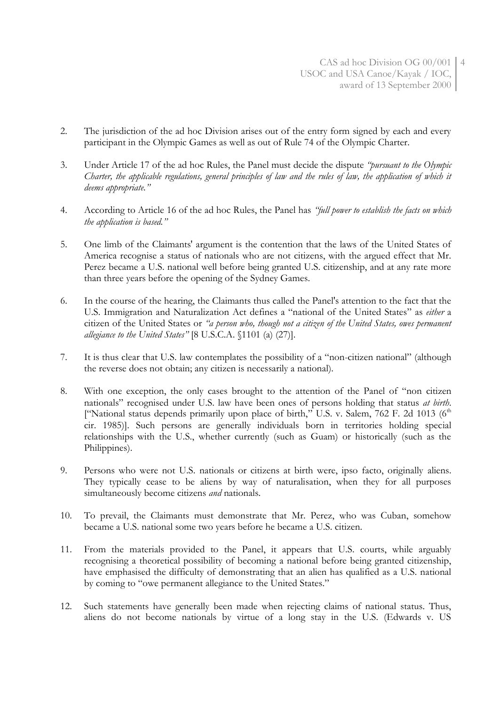- 2. The jurisdiction of the ad hoc Division arises out of the entry form signed by each and every participant in the Olympic Games as well as out of Rule 74 of the Olympic Charter.
- 3. Under Article 17 of the ad hoc Rules, the Panel must decide the dispute *"pursuant to the Olympic Charter, the applicable regulations, general principles of law and the rules of law, the application of which it deems appropriate."*
- 4. According to Article 16 of the ad hoc Rules, the Panel has *"full power to establish the facts on which the application is based."*
- 5. One limb of the Claimants' argument is the contention that the laws of the United States of America recognise a status of nationals who are not citizens, with the argued effect that Mr. Perez became a U.S. national well before being granted U.S. citizenship, and at any rate more than three years before the opening of the Sydney Games.
- 6. In the course of the hearing, the Claimants thus called the Panel's attention to the fact that the U.S. Immigration and Naturalization Act defines a "national of the United States" as *either* a citizen of the United States or *"a person who, though not a citizen of the United States, owes permanent allegiance to the United States"* [8 U.S.C.A. §1101 (a) (27)].
- 7. It is thus clear that U.S. law contemplates the possibility of a "non-citizen national" (although the reverse does not obtain; any citizen is necessarily a national).
- 8. With one exception, the only cases brought to the attention of the Panel of "non citizen nationals" recognised under U.S. law have been ones of persons holding that status *at birth*. ["National status depends primarily upon place of birth," U.S. v. Salem, 762 F. 2d 1013 (6<sup>th</sup> cir. 1985)]. Such persons are generally individuals born in territories holding special relationships with the U.S., whether currently (such as Guam) or historically (such as the Philippines).
- 9. Persons who were not U.S. nationals or citizens at birth were, ipso facto, originally aliens. They typically cease to be aliens by way of naturalisation, when they for all purposes simultaneously become citizens *and* nationals.
- 10. To prevail, the Claimants must demonstrate that Mr. Perez, who was Cuban, somehow became a U.S. national some two years before he became a U.S. citizen.
- 11. From the materials provided to the Panel, it appears that U.S. courts, while arguably recognising a theoretical possibility of becoming a national before being granted citizenship, have emphasised the difficulty of demonstrating that an alien has qualified as a U.S. national by coming to "owe permanent allegiance to the United States."
- 12. Such statements have generally been made when rejecting claims of national status. Thus, aliens do not become nationals by virtue of a long stay in the U.S. (Edwards v. US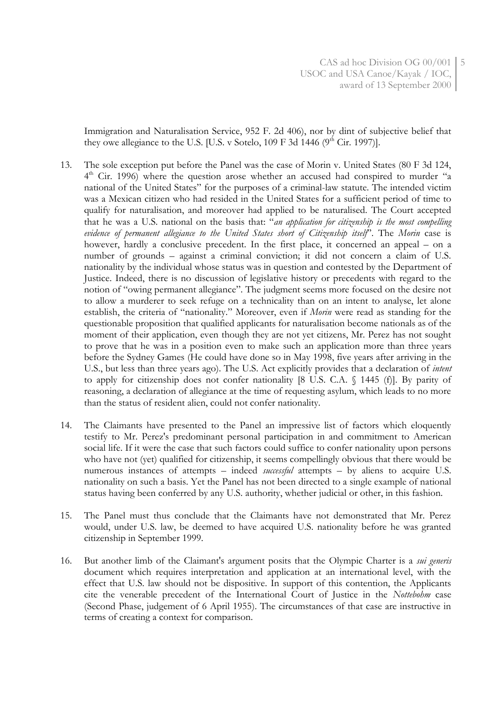Immigration and Naturalisation Service, 952 F. 2d 406), nor by dint of subjective belief that they owe allegiance to the U.S. [U.S. v Sotelo,  $109 \text{ F } 3d$  1446 ( $9^{\text{th}}$  Cir. 1997)].

- 13. The sole exception put before the Panel was the case of Morin v. United States (80 F 3d 124, 4<sup>th</sup> Cir. 1996) where the question arose whether an accused had conspired to murder "a national of the United States" for the purposes of a criminal-law statute. The intended victim was a Mexican citizen who had resided in the United States for a sufficient period of time to qualify for naturalisation, and moreover had applied to be naturalised. The Court accepted that he was a U.S. national on the basis that: "*an application for citizenship is the most compelling evidence of permanent allegiance to the United States short of Citizenship itself*". The *Morin* case is however, hardly a conclusive precedent. In the first place, it concerned an appeal – on a number of grounds – against a criminal conviction; it did not concern a claim of U.S. nationality by the individual whose status was in question and contested by the Department of Justice. Indeed, there is no discussion of legislative history or precedents with regard to the notion of "owing permanent allegiance". The judgment seems more focused on the desire not to allow a murderer to seek refuge on a technicality than on an intent to analyse, let alone establish, the criteria of "nationality." Moreover, even if *Morin* were read as standing for the questionable proposition that qualified applicants for naturalisation become nationals as of the moment of their application, even though they are not yet citizens, Mr. Perez has not sought to prove that he was in a position even to make such an application more than three years before the Sydney Games (He could have done so in May 1998, five years after arriving in the U.S., but less than three years ago). The U.S. Act explicitly provides that a declaration of *intent* to apply for citizenship does not confer nationality [8 U.S. C.A. § 1445 (f)]. By parity of reasoning, a declaration of allegiance at the time of requesting asylum, which leads to no more than the status of resident alien, could not confer nationality.
- 14. The Claimants have presented to the Panel an impressive list of factors which eloquently testify to Mr. Perez's predominant personal participation in and commitment to American social life. If it were the case that such factors could suffice to confer nationality upon persons who have not (yet) qualified for citizenship, it seems compellingly obvious that there would be numerous instances of attempts – indeed *successful* attempts – by aliens to acquire U.S. nationality on such a basis. Yet the Panel has not been directed to a single example of national status having been conferred by any U.S. authority, whether judicial or other, in this fashion.
- 15. The Panel must thus conclude that the Claimants have not demonstrated that Mr. Perez would, under U.S. law, be deemed to have acquired U.S. nationality before he was granted citizenship in September 1999.
- 16. But another limb of the Claimant's argument posits that the Olympic Charter is a *sui generis* document which requires interpretation and application at an international level, with the effect that U.S. law should not be dispositive. In support of this contention, the Applicants cite the venerable precedent of the International Court of Justice in the *Nottebohm* case (Second Phase, judgement of 6 April 1955). The circumstances of that case are instructive in terms of creating a context for comparison.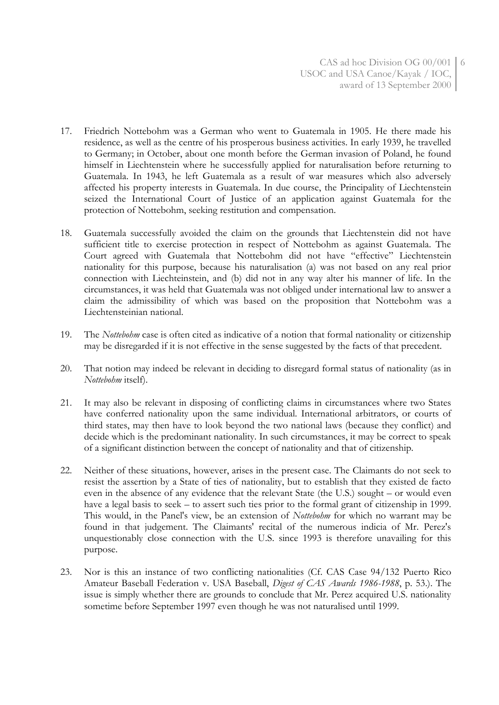- 17. Friedrich Nottebohm was a German who went to Guatemala in 1905. He there made his residence, as well as the centre of his prosperous business activities. In early 1939, he travelled to Germany; in October, about one month before the German invasion of Poland, he found himself in Liechtenstein where he successfully applied for naturalisation before returning to Guatemala. In 1943, he left Guatemala as a result of war measures which also adversely affected his property interests in Guatemala. In due course, the Principality of Liechtenstein seized the International Court of Justice of an application against Guatemala for the protection of Nottebohm, seeking restitution and compensation.
- 18. Guatemala successfully avoided the claim on the grounds that Liechtenstein did not have sufficient title to exercise protection in respect of Nottebohm as against Guatemala. The Court agreed with Guatemala that Nottebohm did not have "effective" Liechtenstein nationality for this purpose, because his naturalisation (a) was not based on any real prior connection with Liechteinstein, and (b) did not in any way alter his manner of life. In the circumstances, it was held that Guatemala was not obliged under international law to answer a claim the admissibility of which was based on the proposition that Nottebohm was a Liechtensteinian national.
- 19. The *Nottebohm* case is often cited as indicative of a notion that formal nationality or citizenship may be disregarded if it is not effective in the sense suggested by the facts of that precedent.
- 20. That notion may indeed be relevant in deciding to disregard formal status of nationality (as in *Nottebohm* itself).
- 21. It may also be relevant in disposing of conflicting claims in circumstances where two States have conferred nationality upon the same individual. International arbitrators, or courts of third states, may then have to look beyond the two national laws (because they conflict) and decide which is the predominant nationality. In such circumstances, it may be correct to speak of a significant distinction between the concept of nationality and that of citizenship.
- 22. Neither of these situations, however, arises in the present case. The Claimants do not seek to resist the assertion by a State of ties of nationality, but to establish that they existed de facto even in the absence of any evidence that the relevant State (the U.S.) sought – or would even have a legal basis to seek – to assert such ties prior to the formal grant of citizenship in 1999. This would, in the Panel's view, be an extension of *Nottebohm* for which no warrant may be found in that judgement. The Claimants' recital of the numerous indicia of Mr. Perez's unquestionably close connection with the U.S. since 1993 is therefore unavailing for this purpose.
- 23. Nor is this an instance of two conflicting nationalities (Cf. CAS Case 94/132 Puerto Rico Amateur Baseball Federation v. USA Baseball, *Digest of CAS Awards 1986-1988*, p. 53.). The issue is simply whether there are grounds to conclude that Mr. Perez acquired U.S. nationality sometime before September 1997 even though he was not naturalised until 1999.